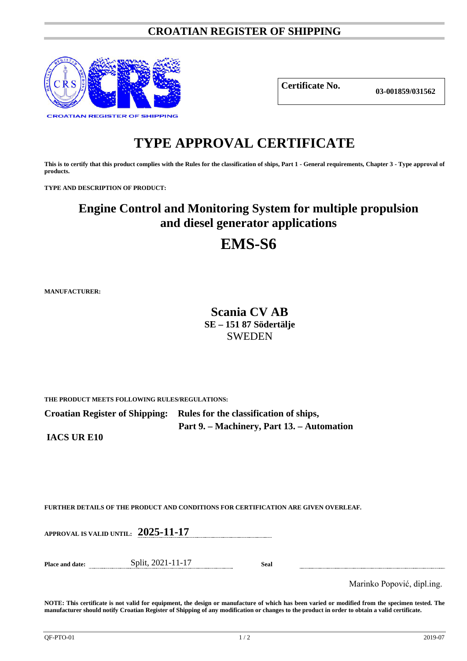### **CROATIAN REGISTER OF SHIPPING**



**Certificate No.**

**03-001859/031562**

# **TYPE APPROVAL CERTIFICATE**

**This is to certify that this product complies with the Rules for the classification of ships, Part 1 - General requirements, Chapter 3 - Type approval of products.**

**TYPE AND DESCRIPTION OF PRODUCT:** 

### **Engine Control and Monitoring System for multiple propulsion and diesel generator applications**

## **EMS-S6**

**MANUFACTURER:**

**Scania CV AB SE – 151 87 Södertälje** SWEDEN

**THE PRODUCT MEETS FOLLOWING RULES/REGULATIONS:**

**Croatian Register of Shipping: Rules for the classification of ships, Part 9. – Machinery, Part 13. – Automation**

**IACS UR E10**

**FURTHER DETAILS OF THE PRODUCT AND CONDITIONS FOR CERTIFICATION ARE GIVEN OVERLEAF.**

**APPROVAL IS VALID UNTIL: 2025-11-17**

| Place and date: | Split, 2021-11-17 | Seal |
|-----------------|-------------------|------|
|-----------------|-------------------|------|

Marinko Popović, dipl.ing.

**NOTE: This certificate is not valid for equipment, the design or manufacture of which has been varied or modified from the specimen tested. The manufacturer should notify Croatian Register of Shipping of any modification or changes to the product in order to obtain a valid certificate.**